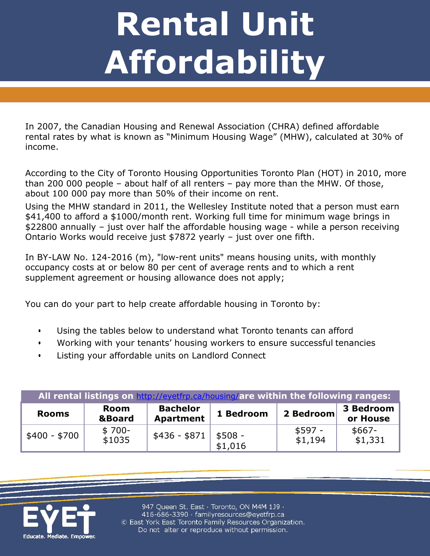## **Rental Unit Affordability**

In 2007, the Canadian Housing and Renewal Association (CHRA) defined affordable rental rates by what is known as "Minimum Housing Wage" (MHW), calculated at 30% of income.

According to the City of Toronto Housing Opportunities Toronto Plan (HOT) in 2010, more than 200 000 people – about half of all renters – pay more than the MHW. Of those, about 100 000 pay more than 50% of their income on rent.

Using the MHW standard in 2011, the Wellesley Institute noted that a person must earn \$41,400 to afford a \$1000/month rent. Working full time for minimum wage brings in \$22800 annually – just over half the affordable housing wage - while a person receiving Ontario Works would receive just \$7872 yearly – just over one fifth.

In BY-LAW No. 124-2016 (m), "low-rent units" means housing units, with monthly occupancy costs at or below 80 per cent of average rents and to which a rent supplement agreement or housing allowance does not apply;

You can do your part to help create affordable housing in Toronto by:

- Using the tables below to understand what Toronto tenants can afford
- Working with your tenants' housing workers to ensure successful tenancies
- Listing your affordable units on Landlord Connect

| All rental listings on http://eyetfrp.ca/housing/are within the following ranges: |                           |                                     |                     |                     |                       |  |  |
|-----------------------------------------------------------------------------------|---------------------------|-------------------------------------|---------------------|---------------------|-----------------------|--|--|
| <b>Rooms</b>                                                                      | Room<br><b>&amp;Board</b> | <b>Bachelor</b><br><b>Apartment</b> | 1 Bedroom           | 2 Bedroom           | 3 Bedroom<br>or House |  |  |
| \$400 - \$700                                                                     | $$700-$<br>\$1035         | \$436 - \$871                       | $$508 -$<br>\$1,016 | $$597 -$<br>\$1,194 | $$667-$<br>\$1,331    |  |  |



947 Queen St. East · Toronto, ON M4M 1J9 · 416-686-3390 · familyresources@eyetfrp.ca © East York East Toronto Family Resources Organization. Do not alter or reproduce without permission.